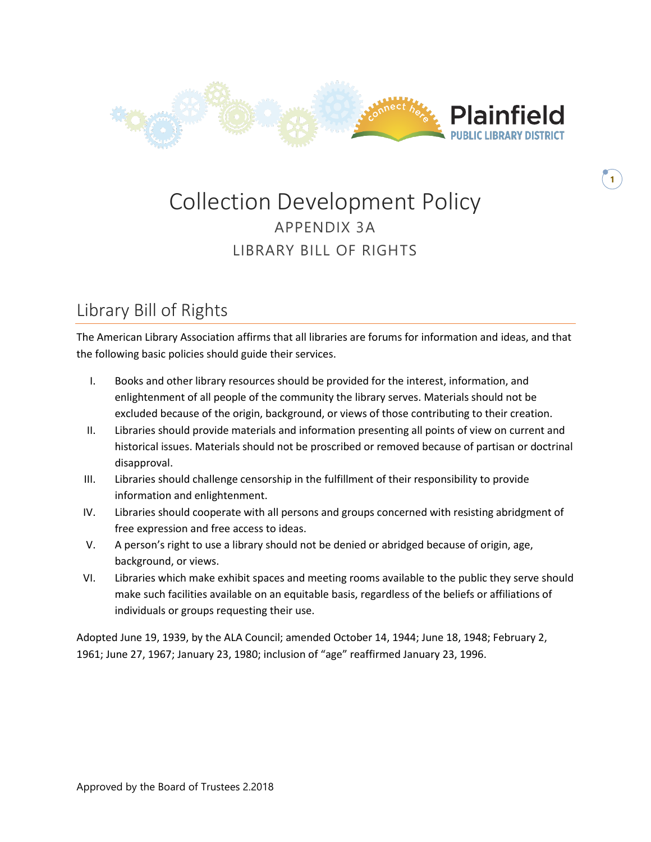

**1**

## Collection Development Policy APPENDIX 3A LIBRARY BILL OF RIGHTS

## Library Bill of Rights

The American Library Association affirms that all libraries are forums for information and ideas, and that the following basic policies should guide their services.

- I. Books and other library resources should be provided for the interest, information, and enlightenment of all people of the community the library serves. Materials should not be excluded because of the origin, background, or views of those contributing to their creation.
- II. Libraries should provide materials and information presenting all points of view on current and historical issues. Materials should not be proscribed or removed because of partisan or doctrinal disapproval.
- III. Libraries should challenge censorship in the fulfillment of their responsibility to provide information and enlightenment.
- IV. Libraries should cooperate with all persons and groups concerned with resisting abridgment of free expression and free access to ideas.
- V. A person's right to use a library should not be denied or abridged because of origin, age, background, or views.
- VI. Libraries which make exhibit spaces and meeting rooms available to the public they serve should make such facilities available on an equitable basis, regardless of the beliefs or affiliations of individuals or groups requesting their use.

Adopted June 19, 1939, by the ALA Council; amended October 14, 1944; June 18, 1948; February 2, 1961; June 27, 1967; January 23, 1980; inclusion of "age" reaffirmed January 23, 1996.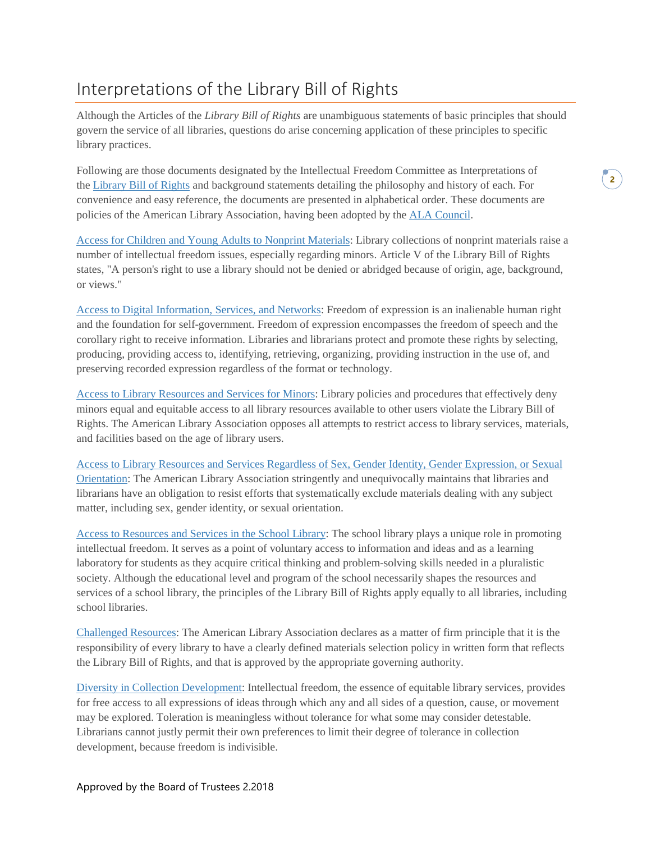## Interpretations of the Library Bill of Rights

Although the Articles of the *Library Bill of Rights* are unambiguous statements of basic principles that should govern the service of all libraries, questions do arise concerning application of these principles to specific library practices.

Following are those documents designated by the Intellectual Freedom Committee as Interpretations of the [Library](http://www.ala.org/advocacy/intfreedom/librarybill) Bill of Rights and background statements detailing the philosophy and history of each. For convenience and easy reference, the documents are presented in alphabetical order. These documents are policies of the American Library Association, having been adopted by the ALA [Council.](http://www.ala.org/aboutala/governance/council)

Access for Children and Young Adults to Nonprint [Materials:](http://www.ala.org/advocacy/intfreedom/librarybill/interpretations/accesschildren) Library collections of nonprint materials raise a number of intellectual freedom issues, especially regarding minors. Article V of the Library Bill of Rights states, "A person's right to use a library should not be denied or abridged because of origin, age, background, or views."

Access to Digital [Information,](http://www.ala.org/advocacy/node/35) Services, and Networks: Freedom of expression is an inalienable human right and the foundation for self-government. Freedom of expression encompasses the freedom of speech and the corollary right to receive information. Libraries and librarians protect and promote these rights by selecting, producing, providing access to, identifying, retrieving, organizing, providing instruction in the use of, and preserving recorded expression regardless of the format or technology.

Access to Library [Resources](http://www.ala.org/advocacy/intfreedom/librarybill/interpretations/access-library-resources-for-minors) and Services for Minors: Library policies and procedures that effectively deny minors equal and equitable access to all library resources available to other users violate the Library Bill of Rights. The American Library Association opposes all attempts to restrict access to library services, materials, and facilities based on the age of library users.

Access to Library Resources and Services Regardless of Sex, Gender Identity, Gender [Expression,](http://www.ala.org/advocacy/intfreedom/librarybill/interpretations/accesslgbt) or Sexual [Orientation:](http://www.ala.org/advocacy/intfreedom/librarybill/interpretations/accesslgbt) The American Library Association stringently and unequivocally maintains that libraries and librarians have an obligation to resist efforts that systematically exclude materials dealing with any subject matter, including sex, gender identity, or sexual orientation.

Access to [Resources](http://www.ala.org/advocacy/intfreedom/librarybill/interpretations/accessresources) and Services in the School Library: The school library plays a unique role in promoting intellectual freedom. It serves as a point of voluntary access to information and ideas and as a learning laboratory for students as they acquire critical thinking and problem-solving skills needed in a pluralistic society. Although the educational level and program of the school necessarily shapes the resources and services of a school library, the principles of the Library Bill of Rights apply equally to all libraries, including school libraries.

[Challenged](http://www.ala.org/advocacy/intfreedom/librarybill/interpretations/challenged-resources) Resources: The American Library Association declares as a matter of firm principle that it is the responsibility of every library to have a clearly defined materials selection policy in written form that reflects the Library Bill of Rights, and that is approved by the appropriate governing authority.

Diversity in Collection [Development:](http://www.ala.org/advocacy/intfreedom/librarybill/interpretations/diversitycollection) Intellectual freedom, the essence of equitable library services, provides for free access to all expressions of ideas through which any and all sides of a question, cause, or movement may be explored. Toleration is meaningless without tolerance for what some may consider detestable. Librarians cannot justly permit their own preferences to limit their degree of tolerance in collection development, because freedom is indivisible.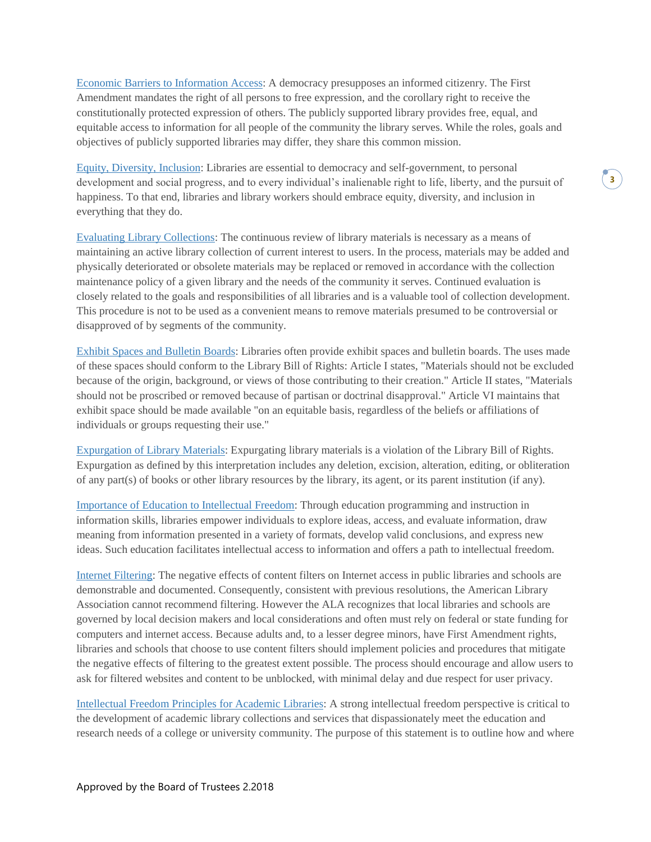Economic Barriers to [Information](http://www.ala.org/advocacy/intfreedom/librarybill/interpretations/economicbarriers) Access: A democracy presupposes an informed citizenry. The First Amendment mandates the right of all persons to free expression, and the corollary right to receive the constitutionally protected expression of others. The publicly supported library provides free, equal, and equitable access to information for all people of the community the library serves. While the roles, goals and objectives of publicly supported libraries may differ, they share this common mission.

Equity, [Diversity,](http://www.ala.org/advocacy/intfreedom/librarybill/interpretations/EDI) Inclusion: Libraries are essential to democracy and self-government, to personal development and social progress, and to every individual's inalienable right to life, liberty, and the pursuit of happiness. To that end, libraries and library workers should embrace equity, diversity, and inclusion in everything that they do.

Evaluating Library [Collections:](http://www.ala.org/advocacy/intfreedom/librarybill/interpretations/evaluatinglibrary) The continuous review of library materials is necessary as a means of maintaining an active library collection of current interest to users. In the process, materials may be added and physically deteriorated or obsolete materials may be replaced or removed in accordance with the collection maintenance policy of a given library and the needs of the community it serves. Continued evaluation is closely related to the goals and responsibilities of all libraries and is a valuable tool of collection development. This procedure is not to be used as a convenient means to remove materials presumed to be controversial or disapproved of by segments of the community.

Exhibit Spaces and [Bulletin](http://www.ala.org/advocacy/intfreedom/librarybill/interpretations/exhibitspaces) Boards: Libraries often provide exhibit spaces and bulletin boards. The uses made of these spaces should conform to the Library Bill of Rights: Article I states, "Materials should not be excluded because of the origin, background, or views of those contributing to their creation." Article II states, "Materials should not be proscribed or removed because of partisan or doctrinal disapproval." Article VI maintains that exhibit space should be made available "on an equitable basis, regardless of the beliefs or affiliations of individuals or groups requesting their use."

[Expurgation](http://www.ala.org/advocacy/intfreedom/librarybill/interpretations/expurgationlibrary) of Library Materials: Expurgating library materials is a violation of the Library Bill of Rights. Expurgation as defined by this interpretation includes any deletion, excision, alteration, editing, or obliteration of any part(s) of books or other library resources by the library, its agent, or its parent institution (if any).

[Importance](http://www.ala.org/advocacy/intfreedom/librarybill/interpretations/advocating-intellectual-freedom) of Education to Intellectual Freedom: Through education programming and instruction in information skills, libraries empower individuals to explore ideas, access, and evaluate information, draw meaning from information presented in a variety of formats, develop valid conclusions, and express new ideas. Such education facilitates intellectual access to information and offers a path to intellectual freedom.

Internet [Filtering:](http://www.ala.org/advocacy/intfreedom/librarybill/interpretations/internet-filtering) The negative effects of content filters on Internet access in public libraries and schools are demonstrable and documented. Consequently, consistent with previous resolutions, the American Library Association cannot recommend filtering. However the ALA recognizes that local libraries and schools are governed by local decision makers and local considerations and often must rely on federal or state funding for computers and internet access. Because adults and, to a lesser degree minors, have First Amendment rights, libraries and schools that choose to use content filters should implement policies and procedures that mitigate the negative effects of filtering to the greatest extent possible. The process should encourage and allow users to ask for filtered websites and content to be unblocked, with minimal delay and due respect for user privacy.

[Intellectual](http://www.ala.org/advocacy/intfreedom/librarybill/interpretations/intellectual) Freedom Principles for Academic Libraries: A strong intellectual freedom perspective is critical to the development of academic library collections and services that dispassionately meet the education and research needs of a college or university community. The purpose of this statement is to outline how and where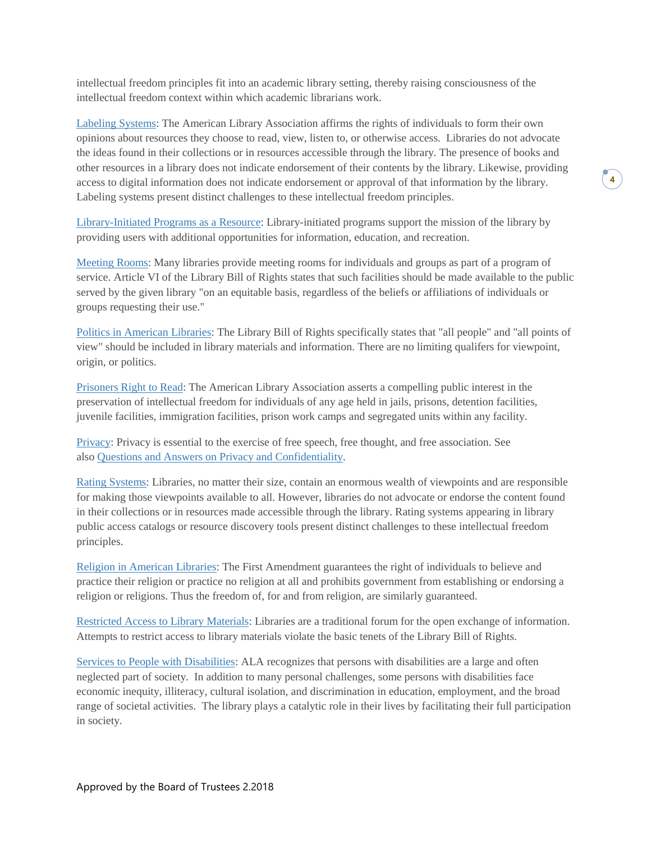intellectual freedom principles fit into an academic library setting, thereby raising consciousness of the intellectual freedom context within which academic librarians work.

[Labeling](http://www.ala.org/advocacy/intfreedom/librarybill/interpretation/labeling-systems) Systems: The American Library Association affirms the rights of individuals to form their own opinions about resources they choose to read, view, listen to, or otherwise access. Libraries do not advocate the ideas found in their collections or in resources accessible through the library. The presence of books and other resources in a library does not indicate endorsement of their contents by the library. Likewise, providing access to digital information does not indicate endorsement or approval of that information by the library. Labeling systems present distinct challenges to these intellectual freedom principles.

[Library-Initiated](http://www.ala.org/advocacy/intfreedom/librarybill/interpretations/libraryinitiated) Programs as a Resource: Library-initiated programs support the mission of the library by providing users with additional opportunities for information, education, and recreation.

[Meeting](http://www.ala.org/advocacy/intfreedom/librarybill/interpretations/meetingrooms) Rooms: Many libraries provide meeting rooms for individuals and groups as part of a program of service. Article VI of the Library Bill of Rights states that such facilities should be made available to the public served by the given library "on an equitable basis, regardless of the beliefs or affiliations of individuals or groups requesting their use."

Politics in [American](http://www.ala.org/advocacy/intfreedom/librarybill/interpretations/politics) Libraries: The Library Bill of Rights specifically states that "all people" and "all points of view" should be included in library materials and information. There are no limiting qualifers for viewpoint, origin, or politics.

[Prisoners](http://www.ala.org/advocacy/intfreedom/librarybill/interpretations/prisonersrightoread) Right to Read: The American Library Association asserts a compelling public interest in the preservation of intellectual freedom for individuals of any age held in jails, prisons, detention facilities, juvenile facilities, immigration facilities, prison work camps and segregated units within any facility.

[Privacy:](http://www.ala.org/advocacy/intfreedom/librarybill/interpretations/privacy) Privacy is essential to the exercise of free speech, free thought, and free association. See also Questions and Answers on Privacy and [Confidentiality.](http://www.ala.org/advocacy/privacy/FAQ)

Rating [Systems:](http://www.ala.org/advocacy/intfreedom/librarybill/interpretations/rating-systems) Libraries, no matter their size, contain an enormous wealth of viewpoints and are responsible for making those viewpoints available to all. However, libraries do not advocate or endorse the content found in their collections or in resources made accessible through the library. Rating systems appearing in library public access catalogs or resource discovery tools present distinct challenges to these intellectual freedom principles.

Religion in [American](http://www.ala.org/advocacy/intfreedom/librarybill/interpretations/religion) Libraries: The First Amendment guarantees the right of individuals to believe and practice their religion or practice no religion at all and prohibits government from establishing or endorsing a religion or religions. Thus the freedom of, for and from religion, are similarly guaranteed.

[Restricted](http://www.ala.org/advocacy/intfreedom/librarybill/interpretations/restrictedaccess) Access to Library Materials: Libraries are a traditional forum for the open exchange of information. Attempts to restrict access to library materials violate the basic tenets of the Library Bill of Rights.

Services to People with [Disabilities:](http://www.ala.org/advocacy/intfreedom/librarybill/interpretations/servicespeopledisabilities) ALA recognizes that persons with disabilities are a large and often neglected part of society. In addition to many personal challenges, some persons with disabilities face economic inequity, illiteracy, cultural isolation, and discrimination in education, employment, and the broad range of societal activities. The library plays a catalytic role in their lives by facilitating their full participation in society.